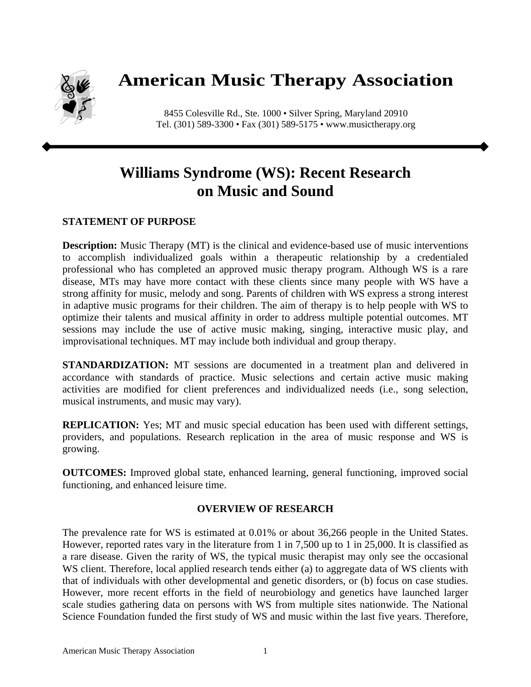

## **American Music Therapy Association**

8455 Colesville Rd., Ste. 1000 • Silver Spring, Maryland 20910 Tel. (301) 589-3300 • Fax (301) 589-5175 • www.musictherapy.org

## **Williams Syndrome (WS): Recent Research on Music and Sound**

## **STATEMENT OF PURPOSE**

**Description:** Music Therapy (MT) is the clinical and evidence-based use of music interventions to accomplish individualized goals within a therapeutic relationship by a credentialed professional who has completed an approved music therapy program. Although WS is a rare disease, MTs may have more contact with these clients since many people with WS have a strong affinity for music, melody and song. Parents of children with WS express a strong interest in adaptive music programs for their children. The aim of therapy is to help people with WS to optimize their talents and musical affinity in order to address multiple potential outcomes. MT sessions may include the use of active music making, singing, interactive music play, and improvisational techniques. MT may include both individual and group therapy.

**STANDARDIZATION:** MT sessions are documented in a treatment plan and delivered in accordance with standards of practice. Music selections and certain active music making activities are modified for client preferences and individualized needs (i.e., song selection, musical instruments, and music may vary).

**REPLICATION:** Yes; MT and music special education has been used with different settings, providers, and populations. Research replication in the area of music response and WS is growing.

**OUTCOMES:** Improved global state, enhanced learning, general functioning, improved social functioning, and enhanced leisure time.

## **OVERVIEW OF RESEARCH**

The prevalence rate for WS is estimated at 0.01% or about 36,266 people in the United States. However, reported rates vary in the literature from 1 in 7,500 up to 1 in 25,000. It is classified as a rare disease. Given the rarity of WS, the typical music therapist may only see the occasional WS client. Therefore, local applied research tends either (a) to aggregate data of WS clients with that of individuals with other developmental and genetic disorders, or (b) focus on case studies. However, more recent efforts in the field of neurobiology and genetics have launched larger scale studies gathering data on persons with WS from multiple sites nationwide. The National Science Foundation funded the first study of WS and music within the last five years. Therefore,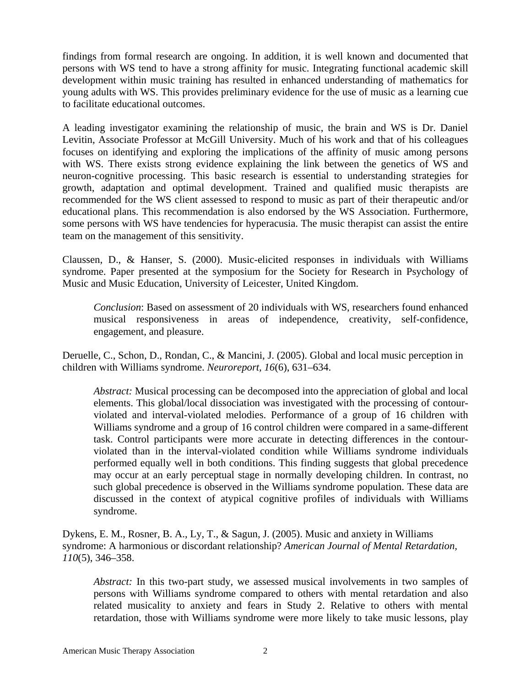findings from formal research are ongoing. In addition, it is well known and documented that persons with WS tend to have a strong affinity for music. Integrating functional academic skill development within music training has resulted in enhanced understanding of mathematics for young adults with WS. This provides preliminary evidence for the use of music as a learning cue to facilitate educational outcomes.

A leading investigator examining the relationship of music, the brain and WS is Dr. Daniel Levitin, Associate Professor at McGill University. Much of his work and that of his colleagues focuses on identifying and exploring the implications of the affinity of music among persons with WS. There exists strong evidence explaining the link between the genetics of WS and neuron-cognitive processing. This basic research is essential to understanding strategies for growth, adaptation and optimal development. Trained and qualified music therapists are recommended for the WS client assessed to respond to music as part of their therapeutic and/or educational plans. This recommendation is also endorsed by the WS Association. Furthermore, some persons with WS have tendencies for hyperacusia. The music therapist can assist the entire team on the management of this sensitivity.

Claussen, D., & Hanser, S. (2000). Music-elicited responses in individuals with Williams syndrome. Paper presented at the symposium for the Society for Research in Psychology of Music and Music Education, University of Leicester, United Kingdom.

*Conclusion*: Based on assessment of 20 individuals with WS, researchers found enhanced musical responsiveness in areas of independence, creativity, self-confidence, engagement, and pleasure.

Deruelle, C., Schon, D., Rondan, C., & Mancini, J. (2005). Global and local music perception in children with Williams syndrome. *Neuroreport, 16*(6), 631–634.

*Abstract:* Musical processing can be decomposed into the appreciation of global and local elements. This global/local dissociation was investigated with the processing of contourviolated and interval-violated melodies. Performance of a group of 16 children with Williams syndrome and a group of 16 control children were compared in a same-different task. Control participants were more accurate in detecting differences in the contourviolated than in the interval-violated condition while Williams syndrome individuals performed equally well in both conditions. This finding suggests that global precedence may occur at an early perceptual stage in normally developing children. In contrast, no such global precedence is observed in the Williams syndrome population. These data are discussed in the context of atypical cognitive profiles of individuals with Williams syndrome.

Dykens, E. M., Rosner, B. A., Ly, T., & Sagun, J. (2005). Music and anxiety in Williams syndrome: A harmonious or discordant relationship? *American Journal of Mental Retardation, 110*(5), 346–358.

*Abstract:* In this two-part study, we assessed musical involvements in two samples of persons with Williams syndrome compared to others with mental retardation and also related musicality to anxiety and fears in Study 2. Relative to others with mental retardation, those with Williams syndrome were more likely to take music lessons, play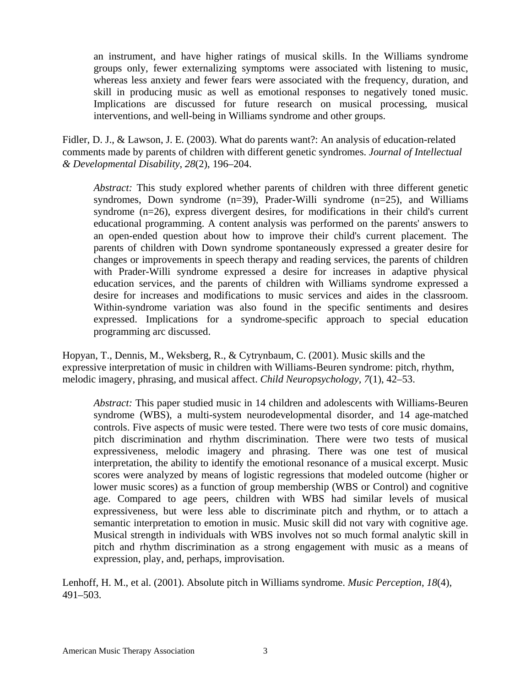an instrument, and have higher ratings of musical skills. In the Williams syndrome groups only, fewer externalizing symptoms were associated with listening to music, whereas less anxiety and fewer fears were associated with the frequency, duration, and skill in producing music as well as emotional responses to negatively toned music. Implications are discussed for future research on musical processing, musical interventions, and well-being in Williams syndrome and other groups.

Fidler, D. J., & Lawson, J. E. (2003). What do parents want?: An analysis of education-related comments made by parents of children with different genetic syndromes. *Journal of Intellectual & Developmental Disability*, *28*(2), 196–204.

*Abstract:* This study explored whether parents of children with three different genetic syndromes, Down syndrome  $(n=39)$ , Prader-Willi syndrome  $(n=25)$ , and Williams syndrome (n=26), express divergent desires, for modifications in their child's current educational programming. A content analysis was performed on the parents' answers to an open-ended question about how to improve their child's current placement. The parents of children with Down syndrome spontaneously expressed a greater desire for changes or improvements in speech therapy and reading services, the parents of children with Prader-Willi syndrome expressed a desire for increases in adaptive physical education services, and the parents of children with Williams syndrome expressed a desire for increases and modifications to music services and aides in the classroom. Within-syndrome variation was also found in the specific sentiments and desires expressed. Implications for a syndrome-specific approach to special education programming arc discussed.

Hopyan, T., Dennis, M., Weksberg, R., & Cytrynbaum, C. (2001). Music skills and the expressive interpretation of music in children with Williams-Beuren syndrome: pitch, rhythm, melodic imagery, phrasing, and musical affect. *Child Neuropsychology, 7*(1), 42–53.

*Abstract:* This paper studied music in 14 children and adolescents with Williams-Beuren syndrome (WBS), a multi-system neurodevelopmental disorder, and 14 age-matched controls. Five aspects of music were tested. There were two tests of core music domains, pitch discrimination and rhythm discrimination. There were two tests of musical expressiveness, melodic imagery and phrasing. There was one test of musical interpretation, the ability to identify the emotional resonance of a musical excerpt. Music scores were analyzed by means of logistic regressions that modeled outcome (higher or lower music scores) as a function of group membership (WBS or Control) and cognitive age. Compared to age peers, children with WBS had similar levels of musical expressiveness, but were less able to discriminate pitch and rhythm, or to attach a semantic interpretation to emotion in music. Music skill did not vary with cognitive age. Musical strength in individuals with WBS involves not so much formal analytic skill in pitch and rhythm discrimination as a strong engagement with music as a means of expression, play, and, perhaps, improvisation.

Lenhoff, H. M., et al. (2001). Absolute pitch in Williams syndrome. *Music Perception*, *18*(4), 491–503.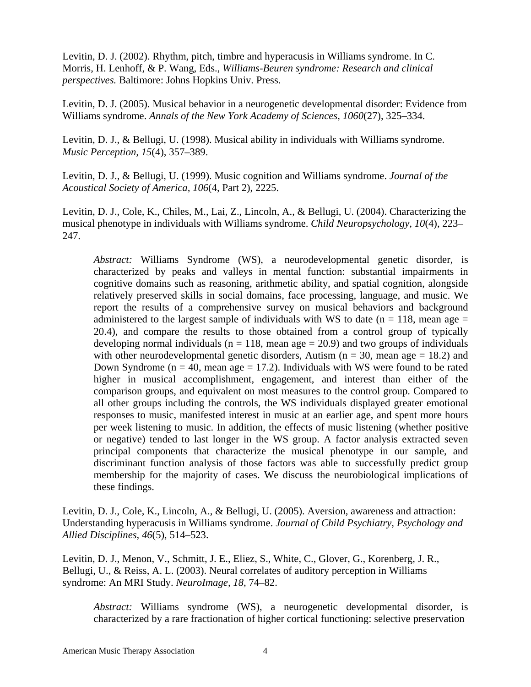Levitin, D. J. (2002). Rhythm, pitch, timbre and hyperacusis in Williams syndrome. In C. Morris, H. Lenhoff, & P. Wang, Eds., *Williams-Beuren syndrome: Research and clinical perspectives.* Baltimore: Johns Hopkins Univ. Press.

Levitin, D. J. (2005). Musical behavior in a neurogenetic developmental disorder: Evidence from Williams syndrome. *Annals of the New York Academy of Sciences, 1060*(27), 325–334.

Levitin, D. J., & Bellugi, U. (1998). Musical ability in individuals with Williams syndrome. *Music Perception, 15*(4), 357–389.

Levitin, D. J., & Bellugi, U. (1999). Music cognition and Williams syndrome. *Journal of the Acoustical Society of America, 106*(4, Part 2), 2225.

Levitin, D. J., Cole, K., Chiles, M., Lai, Z., Lincoln, A., & Bellugi, U. (2004). Characterizing the musical phenotype in individuals with Williams syndrome. *Child Neuropsychology, 10*(4), 223– 247.

*Abstract:* Williams Syndrome (WS), a neurodevelopmental genetic disorder, is characterized by peaks and valleys in mental function: substantial impairments in cognitive domains such as reasoning, arithmetic ability, and spatial cognition, alongside relatively preserved skills in social domains, face processing, language, and music. We report the results of a comprehensive survey on musical behaviors and background administered to the largest sample of individuals with WS to date ( $n = 118$ , mean age  $=$ 20.4), and compare the results to those obtained from a control group of typically developing normal individuals ( $n = 118$ , mean age = 20.9) and two groups of individuals with other neurodevelopmental genetic disorders, Autism ( $n = 30$ , mean age  $= 18.2$ ) and Down Syndrome ( $n = 40$ , mean age  $= 17.2$ ). Individuals with WS were found to be rated higher in musical accomplishment, engagement, and interest than either of the comparison groups, and equivalent on most measures to the control group. Compared to all other groups including the controls, the WS individuals displayed greater emotional responses to music, manifested interest in music at an earlier age, and spent more hours per week listening to music. In addition, the effects of music listening (whether positive or negative) tended to last longer in the WS group. A factor analysis extracted seven principal components that characterize the musical phenotype in our sample, and discriminant function analysis of those factors was able to successfully predict group membership for the majority of cases. We discuss the neurobiological implications of these findings.

Levitin, D. J., Cole, K., Lincoln, A., & Bellugi, U. (2005). Aversion, awareness and attraction: Understanding hyperacusis in Williams syndrome. *Journal of Child Psychiatry, Psychology and Allied Disciplines, 46*(5), 514–523.

Levitin, D. J., Menon, V., Schmitt, J. E., Eliez, S., White, C., Glover, G., Korenberg, J. R., Bellugi, U., & Reiss, A. L. (2003). Neural correlates of auditory perception in Williams syndrome: An MRI Study. *NeuroImage, 18,* 74–82.

*Abstract:* Williams syndrome (WS), a neurogenetic developmental disorder, is characterized by a rare fractionation of higher cortical functioning: selective preservation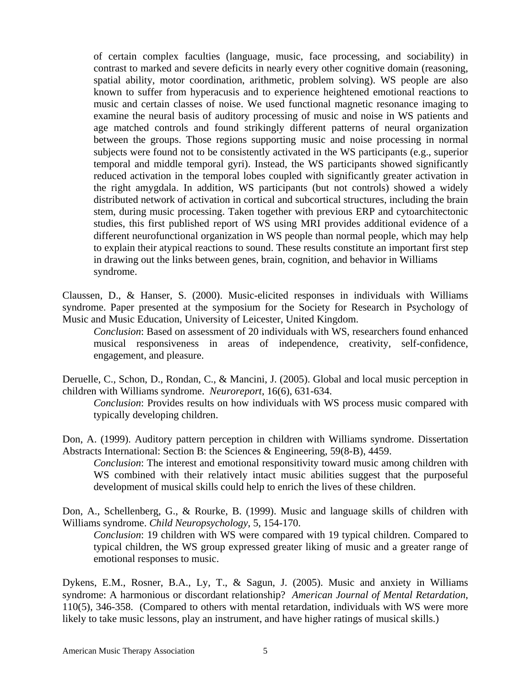of certain complex faculties (language, music, face processing, and sociability) in contrast to marked and severe deficits in nearly every other cognitive domain (reasoning, spatial ability, motor coordination, arithmetic, problem solving). WS people are also known to suffer from hyperacusis and to experience heightened emotional reactions to music and certain classes of noise. We used functional magnetic resonance imaging to examine the neural basis of auditory processing of music and noise in WS patients and age matched controls and found strikingly different patterns of neural organization between the groups. Those regions supporting music and noise processing in normal subjects were found not to be consistently activated in the WS participants (e.g., superior temporal and middle temporal gyri). Instead, the WS participants showed significantly reduced activation in the temporal lobes coupled with significantly greater activation in the right amygdala. In addition, WS participants (but not controls) showed a widely distributed network of activation in cortical and subcortical structures, including the brain stem, during music processing. Taken together with previous ERP and cytoarchitectonic studies, this first published report of WS using MRI provides additional evidence of a different neurofunctional organization in WS people than normal people, which may help to explain their atypical reactions to sound. These results constitute an important first step in drawing out the links between genes, brain, cognition, and behavior in Williams syndrome.

Claussen, D., & Hanser, S. (2000). Music-elicited responses in individuals with Williams syndrome. Paper presented at the symposium for the Society for Research in Psychology of Music and Music Education, University of Leicester, United Kingdom.

*Conclusion*: Based on assessment of 20 individuals with WS, researchers found enhanced musical responsiveness in areas of independence, creativity, self-confidence, engagement, and pleasure.

Deruelle, C., Schon, D., Rondan, C., & Mancini, J. (2005). Global and local music perception in children with Williams syndrome. *Neuroreport*, 16(6), 631-634.

*Conclusion*: Provides results on how individuals with WS process music compared with typically developing children.

Don, A. (1999). Auditory pattern perception in children with Williams syndrome. Dissertation Abstracts International: Section B: the Sciences & Engineering, 59(8-B), 4459.

*Conclusion*: The interest and emotional responsitivity toward music among children with WS combined with their relatively intact music abilities suggest that the purposeful development of musical skills could help to enrich the lives of these children.

Don, A., Schellenberg, G., & Rourke, B. (1999). Music and language skills of children with Williams syndrome. *Child Neuropsychology*, 5, 154-170.

*Conclusion*: 19 children with WS were compared with 19 typical children. Compared to typical children, the WS group expressed greater liking of music and a greater range of emotional responses to music.

Dykens, E.M., Rosner, B.A., Ly, T., & Sagun, J. (2005). Music and anxiety in Williams syndrome: A harmonious or discordant relationship? *American Journal of Mental Retardation*, 110(5), 346-358. (Compared to others with mental retardation, individuals with WS were more likely to take music lessons, play an instrument, and have higher ratings of musical skills.)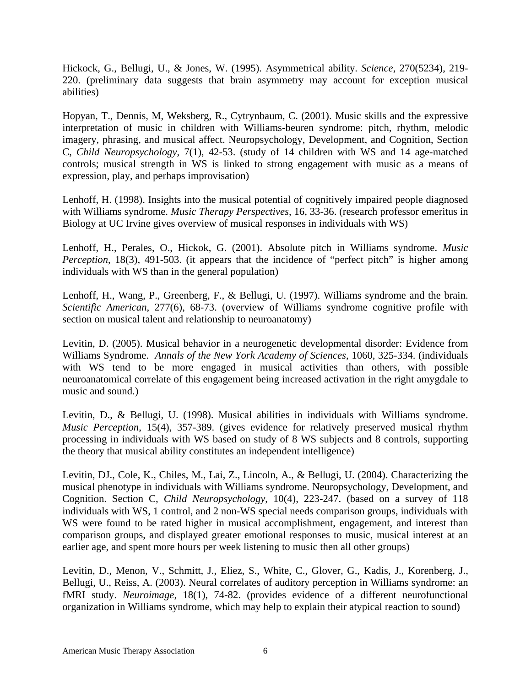Hickock, G., Bellugi, U., & Jones, W. (1995). Asymmetrical ability. *Science*, 270(5234), 219- 220. (preliminary data suggests that brain asymmetry may account for exception musical abilities)

Hopyan, T., Dennis, M, Weksberg, R., Cytrynbaum, C. (2001). Music skills and the expressive interpretation of music in children with Williams-beuren syndrome: pitch, rhythm, melodic imagery, phrasing, and musical affect. Neuropsychology, Development, and Cognition, Section C, *Child Neuropsychology*, 7(1), 42-53. (study of 14 children with WS and 14 age-matched controls; musical strength in WS is linked to strong engagement with music as a means of expression, play, and perhaps improvisation)

Lenhoff, H. (1998). Insights into the musical potential of cognitively impaired people diagnosed with Williams syndrome. *Music Therapy Perspectives*, 16, 33-36. (research professor emeritus in Biology at UC Irvine gives overview of musical responses in individuals with WS)

Lenhoff, H., Perales, O., Hickok, G. (2001). Absolute pitch in Williams syndrome. *Music Perception*, 18(3), 491-503. (it appears that the incidence of "perfect pitch" is higher among individuals with WS than in the general population)

Lenhoff, H., Wang, P., Greenberg, F., & Bellugi, U. (1997). Williams syndrome and the brain. *Scientific American*, 277(6), 68-73. (overview of Williams syndrome cognitive profile with section on musical talent and relationship to neuroanatomy)

Levitin, D. (2005). Musical behavior in a neurogenetic developmental disorder: Evidence from Williams Syndrome. *Annals of the New York Academy of Sciences*, 1060, 325-334. (individuals with WS tend to be more engaged in musical activities than others, with possible neuroanatomical correlate of this engagement being increased activation in the right amygdale to music and sound.)

Levitin, D., & Bellugi, U. (1998). Musical abilities in individuals with Williams syndrome. *Music Perception*, 15(4), 357-389. (gives evidence for relatively preserved musical rhythm processing in individuals with WS based on study of 8 WS subjects and 8 controls, supporting the theory that musical ability constitutes an independent intelligence)

Levitin, DJ., Cole, K., Chiles, M., Lai, Z., Lincoln, A., & Bellugi, U. (2004). Characterizing the musical phenotype in individuals with Williams syndrome. Neuropsychology, Development, and Cognition. Section C, *Child Neuropsychology*, 10(4), 223-247. (based on a survey of 118 individuals with WS, 1 control, and 2 non-WS special needs comparison groups, individuals with WS were found to be rated higher in musical accomplishment, engagement, and interest than comparison groups, and displayed greater emotional responses to music, musical interest at an earlier age, and spent more hours per week listening to music then all other groups)

Levitin, D., Menon, V., Schmitt, J., Eliez, S., White, C., Glover, G., Kadis, J., Korenberg, J., Bellugi, U., Reiss, A. (2003). Neural correlates of auditory perception in Williams syndrome: an fMRI study. *Neuroimage*, 18(1), 74-82. (provides evidence of a different neurofunctional organization in Williams syndrome, which may help to explain their atypical reaction to sound)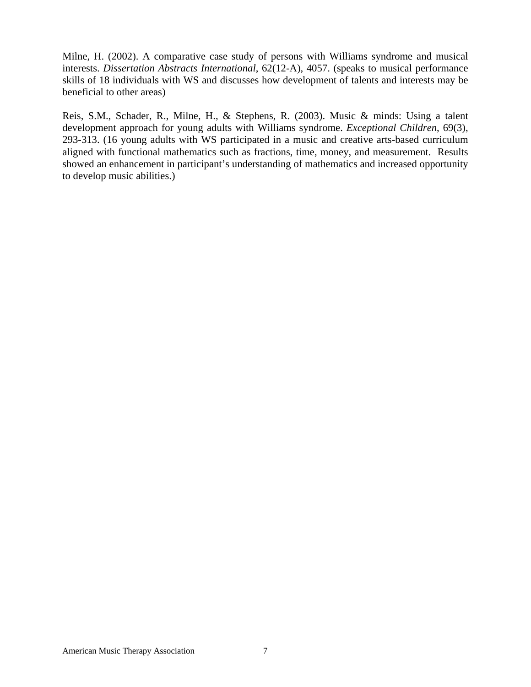Milne, H. (2002). A comparative case study of persons with Williams syndrome and musical interests. *Dissertation Abstracts International*, 62(12-A), 4057. (speaks to musical performance skills of 18 individuals with WS and discusses how development of talents and interests may be beneficial to other areas)

Reis, S.M., Schader, R., Milne, H., & Stephens, R. (2003). Music & minds: Using a talent development approach for young adults with Williams syndrome. *Exceptional Children*, 69(3), 293-313. (16 young adults with WS participated in a music and creative arts-based curriculum aligned with functional mathematics such as fractions, time, money, and measurement. Results showed an enhancement in participant's understanding of mathematics and increased opportunity to develop music abilities.)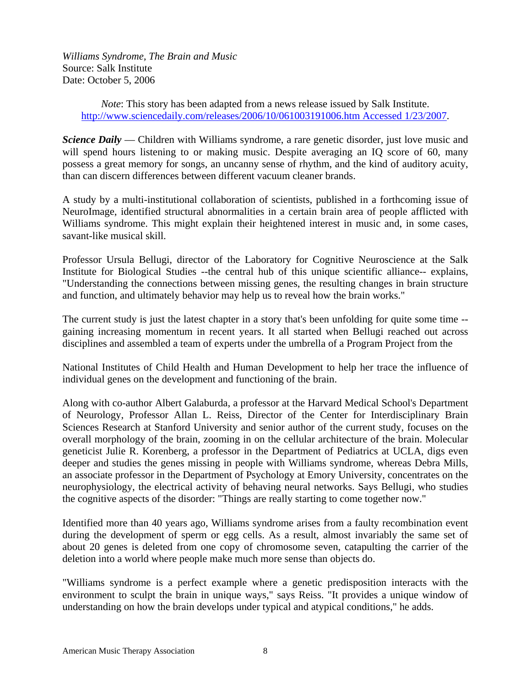*Williams Syndrome, The Brain and Music*  Source: Salk Institute Date: October 5, 2006

> *Note*: This story has been adapted from a news release issued by Salk Institute. <http://www.sciencedaily.com/releases/2006/10/061003191006.htm Accessed 1/23/2007>.

*Science Daily* — Children with Williams syndrome, a rare genetic disorder, just love music and will spend hours listening to or making music. Despite averaging an IQ score of 60, many possess a great memory for songs, an uncanny sense of rhythm, and the kind of auditory acuity, than can discern differences between different vacuum cleaner brands.

A study by a multi-institutional collaboration of scientists, published in a forthcoming issue of NeuroImage, identified structural abnormalities in a certain brain area of people afflicted with Williams syndrome. This might explain their heightened interest in music and, in some cases, savant-like musical skill.

Professor Ursula Bellugi, director of the Laboratory for Cognitive Neuroscience at the Salk Institute for Biological Studies --the central hub of this unique scientific alliance-- explains, "Understanding the connections between missing genes, the resulting changes in brain structure and function, and ultimately behavior may help us to reveal how the brain works."

The current study is just the latest chapter in a story that's been unfolding for quite some time - gaining increasing momentum in recent years. It all started when Bellugi reached out across disciplines and assembled a team of experts under the umbrella of a Program Project from the

National Institutes of Child Health and Human Development to help her trace the influence of individual genes on the development and functioning of the brain.

Along with co-author Albert Galaburda, a professor at the Harvard Medical School's Department of Neurology, Professor Allan L. Reiss, Director of the Center for Interdisciplinary Brain Sciences Research at Stanford University and senior author of the current study, focuses on the overall morphology of the brain, zooming in on the cellular architecture of the brain. Molecular geneticist Julie R. Korenberg, a professor in the Department of Pediatrics at UCLA, digs even deeper and studies the genes missing in people with Williams syndrome, whereas Debra Mills, an associate professor in the Department of Psychology at Emory University, concentrates on the neurophysiology, the electrical activity of behaving neural networks. Says Bellugi, who studies the cognitive aspects of the disorder: "Things are really starting to come together now."

Identified more than 40 years ago, Williams syndrome arises from a faulty recombination event during the development of sperm or egg cells. As a result, almost invariably the same set of about 20 genes is deleted from one copy of chromosome seven, catapulting the carrier of the deletion into a world where people make much more sense than objects do.

"Williams syndrome is a perfect example where a genetic predisposition interacts with the environment to sculpt the brain in unique ways," says Reiss. "It provides a unique window of understanding on how the brain develops under typical and atypical conditions," he adds.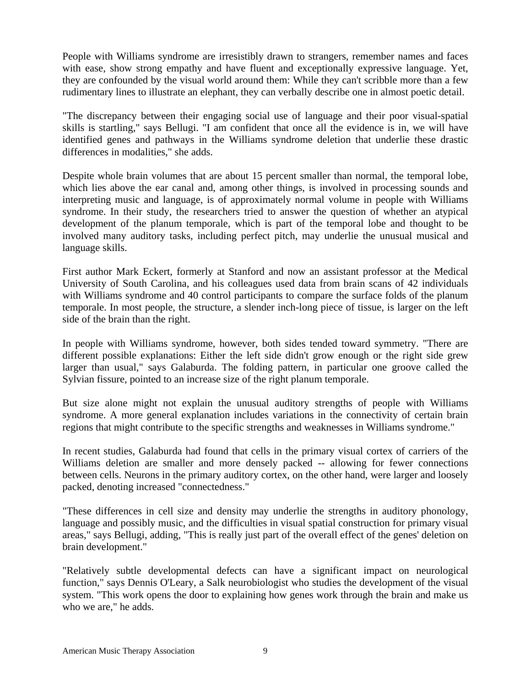People with Williams syndrome are irresistibly drawn to strangers, remember names and faces with ease, show strong empathy and have fluent and exceptionally expressive language. Yet, they are confounded by the visual world around them: While they can't scribble more than a few rudimentary lines to illustrate an elephant, they can verbally describe one in almost poetic detail.

"The discrepancy between their engaging social use of language and their poor visual-spatial skills is startling," says Bellugi. "I am confident that once all the evidence is in, we will have identified genes and pathways in the Williams syndrome deletion that underlie these drastic differences in modalities," she adds.

Despite whole brain volumes that are about 15 percent smaller than normal, the temporal lobe, which lies above the ear canal and, among other things, is involved in processing sounds and interpreting music and language, is of approximately normal volume in people with Williams syndrome. In their study, the researchers tried to answer the question of whether an atypical development of the planum temporale, which is part of the temporal lobe and thought to be involved many auditory tasks, including perfect pitch, may underlie the unusual musical and language skills.

First author Mark Eckert, formerly at Stanford and now an assistant professor at the Medical University of South Carolina, and his colleagues used data from brain scans of 42 individuals with Williams syndrome and 40 control participants to compare the surface folds of the planum temporale. In most people, the structure, a slender inch-long piece of tissue, is larger on the left side of the brain than the right.

In people with Williams syndrome, however, both sides tended toward symmetry. "There are different possible explanations: Either the left side didn't grow enough or the right side grew larger than usual," says Galaburda. The folding pattern, in particular one groove called the Sylvian fissure, pointed to an increase size of the right planum temporale.

But size alone might not explain the unusual auditory strengths of people with Williams syndrome. A more general explanation includes variations in the connectivity of certain brain regions that might contribute to the specific strengths and weaknesses in Williams syndrome."

In recent studies, Galaburda had found that cells in the primary visual cortex of carriers of the Williams deletion are smaller and more densely packed -- allowing for fewer connections between cells. Neurons in the primary auditory cortex, on the other hand, were larger and loosely packed, denoting increased "connectedness."

"These differences in cell size and density may underlie the strengths in auditory phonology, language and possibly music, and the difficulties in visual spatial construction for primary visual areas," says Bellugi, adding, "This is really just part of the overall effect of the genes' deletion on brain development."

"Relatively subtle developmental defects can have a significant impact on neurological function," says Dennis O'Leary, a Salk neurobiologist who studies the development of the visual system. "This work opens the door to explaining how genes work through the brain and make us who we are," he adds.